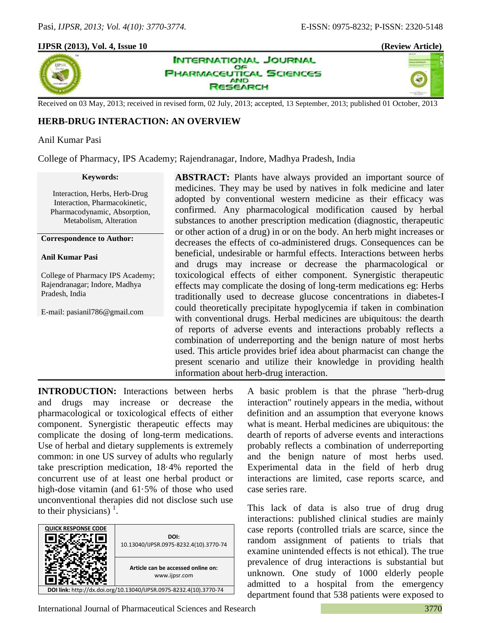## **IJPSR (2013), Vol. 4, Issue 10 (Review Article)**







Received on 03 May, 2013; received in revised form, 02 July, 2013; accepted, 13 September, 2013; published 01 October, 2013

# **HERB-DRUG INTERACTION: AN OVERVIEW**

## Anil Kumar Pasi

College of Pharmacy, IPS Academy; Rajendranagar, Indore, Madhya Pradesh, India

### **Keywords:**

Interaction, Herbs, Herb-Drug Interaction, Pharmacokinetic, Pharmacodynamic, Absorption, Metabolism, Alteration

**Correspondence to Author:**

### **Anil Kumar Pasi**

College of Pharmacy IPS Academy; Rajendranagar; Indore, Madhya Pradesh, India

E-mail: pasianil786@gmail.com

**ABSTRACT:** Plants have always provided an important source of medicines. They may be used by natives in folk medicine and later adopted by conventional western medicine as their efficacy was confirmed. Any pharmacological modification caused by herbal substances to another prescription medication (diagnostic, therapeutic or other action of a drug) in or on the body. An herb might increases or decreases the effects of co-administered drugs. Consequences can be beneficial, undesirable or harmful effects. Interactions between herbs and drugs may increase or decrease the pharmacological or toxicological effects of either component. Synergistic therapeutic effects may complicate the dosing of long-term medications eg: Herbs traditionally used to decrease glucose concentrations in diabetes-I could theoretically precipitate hypoglycemia if taken in combination with conventional drugs. Herbal medicines are ubiquitous: the dearth of reports of adverse events and interactions probably reflects a combination of underreporting and the benign nature of most herbs used. This article provides brief idea about pharmacist can change the present scenario and utilize their knowledge in providing health information about herb-drug interaction.

**INTRODUCTION:** Interactions between herbs and drugs may increase or decrease the pharmacological or toxicological effects of either component. Synergistic therapeutic effects may complicate the dosing of long-term medications. Use of herbal and dietary supplements is extremely common: in one US survey of adults who regularly take prescription medication, 18·4% reported the concurrent use of at least one herbal product or high-dose vitamin (and 61·5% of those who used unconventional therapies did not disclose such use to their physicians)  $1$ .



A basic problem is that the phrase "herb-drug interaction" routinely appears in the media, without definition and an assumption that everyone knows what is meant. Herbal medicines are ubiquitous: the dearth of reports of adverse events and interactions probably reflects a combination of underreporting and the benign nature of most herbs used. Experimental data in the field of herb drug interactions are limited, case reports scarce, and case series rare.

This lack of data is also true of drug drug interactions: published clinical studies are mainly case reports (controlled trials are scarce, since the random assignment of patients to trials that examine unintended effects is not ethical). The true prevalence of drug interactions is substantial but unknown. One study of 1000 elderly people admitted to a hospital from the emergency department found that 538 patients were exposed to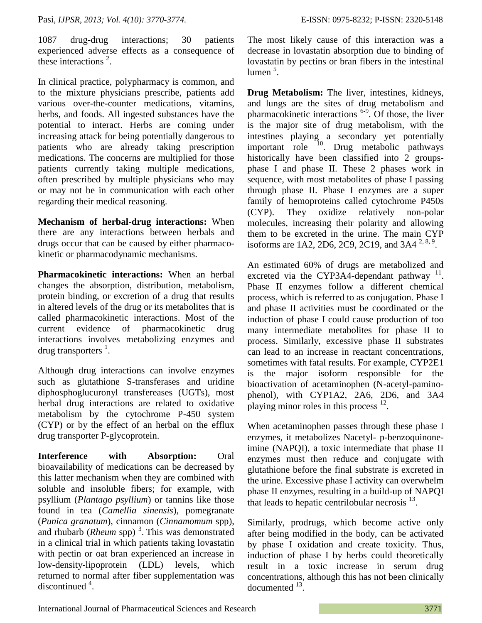1087 drug-drug interactions; 30 patients experienced adverse effects as a consequence of these interactions  $2$ .

In clinical practice, polypharmacy is common, and to the mixture physicians prescribe, patients add various over-the-counter medications, vitamins, herbs, and foods. All ingested substances have the potential to interact. Herbs are coming under increasing attack for being potentially dangerous to patients who are already taking prescription medications. The concerns are multiplied for those patients currently taking multiple medications, often prescribed by multiple physicians who may or may not be in communication with each other regarding their medical reasoning.

**Mechanism of herbal-drug interactions:** When there are any interactions between herbals and drugs occur that can be caused by either pharmacokinetic or pharmacodynamic mechanisms.

**Pharmacokinetic interactions:** When an herbal changes the absorption, distribution, metabolism, protein binding, or excretion of a drug that results in altered levels of the drug or its metabolites that is called pharmacokinetic interactions. Most of the current evidence of pharmacokinetic drug interactions involves metabolizing enzymes and drug transporters  $<sup>1</sup>$ .</sup>

Although drug interactions can involve enzymes such as glutathione S-transferases and uridine diphosphoglucuronyl transfereases (UGTs), most herbal drug interactions are related to oxidative metabolism by the cytochrome P-450 system (CYP) or by the effect of an herbal on the efflux drug transporter P-glycoprotein.

**Interference with Absorption:** Oral bioavailability of medications can be decreased by this latter mechanism when they are combined with soluble and insoluble fibers; for example, with psyllium (*Plantago psyllium*) or tannins like those found in tea (*Camellia sinensis*), pomegranate (*Punica granatum*), cinnamon (*Cinnamomum* spp), and rhubarb (*Rheum* spp)<sup>3</sup>. This was demonstrated in a clinical trial in which patients taking lovastatin with pectin or oat bran experienced an increase in low-density-lipoprotein (LDL) levels, which returned to normal after fiber supplementation was discontinued  $4$ .

The most likely cause of this interaction was a decrease in lovastatin absorption due to binding of lovastatin by pectins or bran fibers in the intestinal lumen<sup>5</sup>.

**Drug Metabolism:** The liver, intestines, kidneys, and lungs are the sites of drug metabolism and pharmacokinetic interactions <sup>6-9</sup>. Of those, the liver is the major site of drug metabolism, with the intestines playing a secondary yet potentially important role <sup>10</sup>. Drug metabolic pathways historically have been classified into 2 groupsphase I and phase II. These 2 phases work in sequence, with most metabolites of phase I passing through phase II. Phase I enzymes are a super family of hemoproteins called cytochrome P450s (CYP). They oxidize relatively non-polar molecules, increasing their polarity and allowing them to be excreted in the urine. The main CYP isoforms are 1A2, 2D6, 2C9, 2C19, and 3A4<sup>2,8,9</sup>.

An estimated 60% of drugs are metabolized and excreted via the CYP3A4-dependant pathway  $^{11}$ . Phase II enzymes follow a different chemical process, which is referred to as conjugation. Phase I and phase II activities must be coordinated or the induction of phase I could cause production of too many intermediate metabolites for phase II to process. Similarly, excessive phase II substrates can lead to an increase in reactant concentrations, sometimes with fatal results. For example, CYP2E1 is the major isoform responsible for the bioactivation of acetaminophen (N-acetyl-paminophenol), with CYP1A2, 2A6, 2D6, and 3A4 playing minor roles in this process  $12$ .

When acetaminophen passes through these phase I enzymes, it metabolizes Nacetyl- p-benzoquinoneimine (NAPQI), a toxic intermediate that phase II enzymes must then reduce and conjugate with glutathione before the final substrate is excreted in the urine. Excessive phase I activity can overwhelm phase II enzymes, resulting in a build-up of NAPQI that leads to hepatic centrilobular necrosis  $^{13}$ .

Similarly, prodrugs, which become active only after being modified in the body, can be activated by phase I oxidation and create toxicity. Thus, induction of phase I by herbs could theoretically result in a toxic increase in serum drug concentrations, although this has not been clinically documented  $^{13}$ .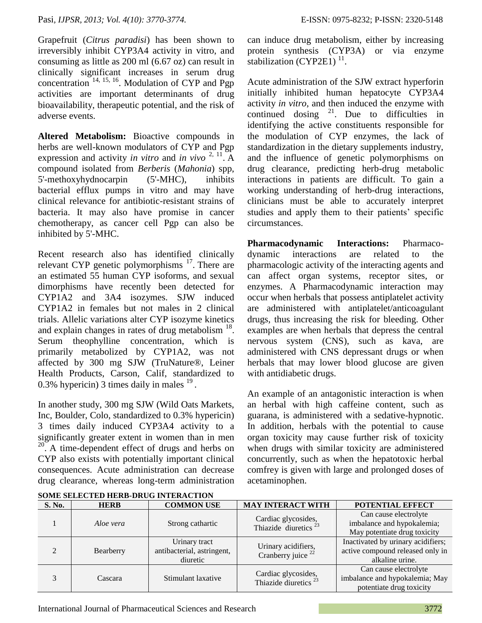Grapefruit (*Citrus paradisi*) has been shown to irreversibly inhibit CYP3A4 activity in vitro, and consuming as little as 200 ml (6.67 oz) can result in clinically significant increases in serum drug concentration  $^{14, 15, 16}$ . Modulation of CYP and Pgp activities are important determinants of drug bioavailability, therapeutic potential, and the risk of adverse events.

**Altered Metabolism:** Bioactive compounds in herbs are well-known modulators of CYP and Pgp expression and activity *in vitro* and *in vivo*  $2, 11$ . A compound isolated from *Berberis* (*Mahonia*) spp, 5'-methoxyhydnocarpin (5'-MHC), inhibits bacterial efflux pumps in vitro and may have clinical relevance for antibiotic-resistant strains of bacteria. It may also have promise in cancer chemotherapy, as cancer cell Pgp can also be inhibited by 5'-MHC.

Recent research also has identified clinically relevant CYP genetic polymorphisms  $17$ . There are an estimated 55 human CYP isoforms, and sexual dimorphisms have recently been detected for CYP1A2 and 3A4 isozymes. SJW induced CYP1A2 in females but not males in 2 clinical trials. Allelic variations alter CYP isozyme kinetics and explain changes in rates of drug metabolism  $18$ . Serum theophylline concentration, which is primarily metabolized by CYP1A2, was not affected by 300 mg SJW (TruNature®, Leiner Health Products, Carson, Calif, standardized to 0.3% hypericin) 3 times daily in males  $19$ .

In another study, 300 mg SJW (Wild Oats Markets, Inc, Boulder, Colo, standardized to 0.3% hypericin) 3 times daily induced CYP3A4 activity to a significantly greater extent in women than in men <sup>20</sup>. A time-dependent effect of drugs and herbs on CYP also exists with potentially important clinical consequences. Acute administration can decrease drug clearance, whereas long-term administration can induce drug metabolism, either by increasing protein synthesis (CYP3A) or via enzyme stabilization (CYP2E1) $<sup>11</sup>$ .</sup>

Acute administration of the SJW extract hyperforin initially inhibited human hepatocyte CYP3A4 activity *in vitro*, and then induced the enzyme with continued dosing  $2^1$ . Due to difficulties in identifying the active constituents responsible for the modulation of CYP enzymes, the lack of standardization in the dietary supplements industry, and the influence of genetic polymorphisms on drug clearance, predicting herb-drug metabolic interactions in patients are difficult. To gain a working understanding of herb-drug interactions, clinicians must be able to accurately interpret studies and apply them to their patients' specific circumstances.

**Pharmacodynamic Interactions:** Pharmacodynamic interactions are related to the pharmacologic activity of the interacting agents and can affect organ systems, receptor sites, or enzymes. A Pharmacodynamic interaction may occur when herbals that possess antiplatelet activity are administered with antiplatelet/anticoagulant drugs, thus increasing the risk for bleeding. Other examples are when herbals that depress the central nervous system (CNS), such as kava, are administered with CNS depressant drugs or when herbals that may lower blood glucose are given with antidiabetic drugs.

An example of an antagonistic interaction is when an herbal with high caffeine content, such as guarana, is administered with a sedative-hypnotic. In addition, herbals with the potential to cause organ toxicity may cause further risk of toxicity when drugs with similar toxicity are administered concurrently, such as when the hepatotoxic herbal comfrey is given with large and prolonged doses of acetaminophen.

| SOME SELECTED HERB-DRUG INTERACTION |             |                                                         |                                                         |                                                                                           |  |  |  |  |  |
|-------------------------------------|-------------|---------------------------------------------------------|---------------------------------------------------------|-------------------------------------------------------------------------------------------|--|--|--|--|--|
| S. No.                              | <b>HERB</b> | <b>COMMON USE</b>                                       | <b>MAY INTERACT WITH</b>                                | POTENTIAL EFFECT                                                                          |  |  |  |  |  |
|                                     | Aloe vera   | Strong cathartic                                        | Cardiac glycosides,<br>Thiazide diuretics <sup>23</sup> | Can cause electrolyte<br>imbalance and hypokalemia;<br>May potentiate drug toxicity       |  |  |  |  |  |
|                                     | Bearberry   | Urinary tract<br>antibacterial, astringent,<br>diuretic | Urinary acidifiers,<br>Cranberry juice <sup>22</sup>    | Inactivated by urinary acidifiers;<br>active compound released only in<br>alkaline urine. |  |  |  |  |  |
|                                     | Cascara     | Stimulant laxative                                      | Cardiac glycosides,<br>Thiazide diuretics <sup>23</sup> | Can cause electrolyte<br>imbalance and hypokalemia; May<br>potentiate drug toxicity       |  |  |  |  |  |

|  | <b>SOME SELECTED HERB-DRUG INTERACTION</b> |
|--|--------------------------------------------|
|  |                                            |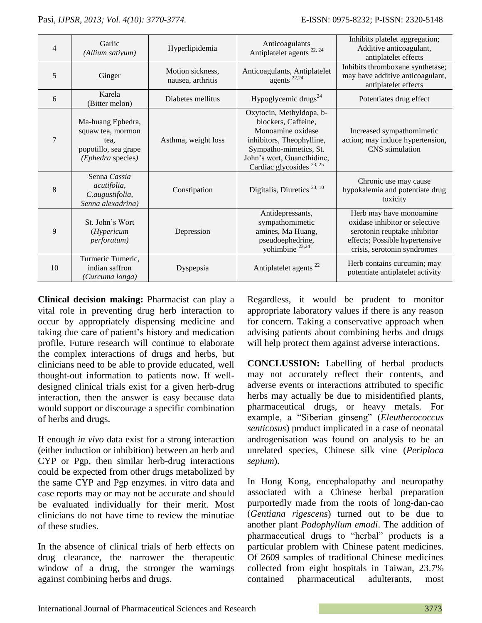| $\overline{4}$ | Garlic<br>(Allium sativum)                                                                  | Hyperlipidemia                        | Anticoagulants<br>Antiplatelet agents $^{22, 24}$                                                                                                                                                 | Inhibits platelet aggregation;<br>Additive anticoagulant,<br>antiplatelet effects                                                                          |
|----------------|---------------------------------------------------------------------------------------------|---------------------------------------|---------------------------------------------------------------------------------------------------------------------------------------------------------------------------------------------------|------------------------------------------------------------------------------------------------------------------------------------------------------------|
| 5              | Ginger                                                                                      | Motion sickness,<br>nausea, arthritis | Anticoagulants, Antiplatelet<br>agents <sup>22,24</sup>                                                                                                                                           | Inhibits thromboxane synthetase;<br>may have additive anticoagulant,<br>antiplatelet effects                                                               |
| 6              | Karela<br>(Bitter melon)                                                                    | Diabetes mellitus                     | Hypoglycemic drugs <sup>24</sup>                                                                                                                                                                  | Potentiates drug effect                                                                                                                                    |
| 7              | Ma-huang Ephedra,<br>squaw tea, mormon<br>tea.<br>popotillo, sea grape<br>(Ephedra species) | Asthma, weight loss                   | Oxytocin, Methyldopa, b-<br>blockers, Caffeine,<br>Monoamine oxidase<br>inhibitors, Theophylline,<br>Sympatho-mimetics, St.<br>John's wort, Guanethidine,<br>Cardiac glycosides <sup>23, 25</sup> | Increased sympathomimetic<br>action; may induce hypertension,<br><b>CNS</b> stimulation                                                                    |
| 8              | Senna Cassia<br>acutifolia,<br>C.augustifolia,<br>Senna alexadrina)                         | Constipation                          | Digitalis, Diuretics $^{23, 10}$                                                                                                                                                                  | Chronic use may cause<br>hypokalemia and potentiate drug<br>toxicity                                                                                       |
| 9              | St. John's Wort<br>(Hypericum<br><i>perforatum</i> )                                        | Depression                            | Antidepressants,<br>sympathomimetic<br>amines, Ma Huang,<br>pseudoephedrine,<br>yohimbine $^{23,24}$                                                                                              | Herb may have monoamine<br>oxidase inhibitor or selective<br>serotonin reuptake inhibitor<br>effects; Possible hypertensive<br>crisis, serotonin syndromes |
| 10             | Turmeric Tumeric,<br>indian saffron<br>(Curcuma longa)                                      | Dyspepsia                             | Antiplatelet agents <sup>22</sup>                                                                                                                                                                 | Herb contains curcumin; may<br>potentiate antiplatelet activity                                                                                            |

**Clinical decision making:** Pharmacist can play a vital role in preventing drug herb interaction to occur by appropriately dispensing medicine and taking due care of patient's history and medication profile. Future research will continue to elaborate the complex interactions of drugs and herbs, but clinicians need to be able to provide educated, well thought-out information to patients now. If welldesigned clinical trials exist for a given herb-drug interaction, then the answer is easy because data would support or discourage a specific combination of herbs and drugs.

If enough *in vivo* data exist for a strong interaction (either induction or inhibition) between an herb and CYP or Pgp, then similar herb-drug interactions could be expected from other drugs metabolized by the same CYP and Pgp enzymes. in vitro data and case reports may or may not be accurate and should be evaluated individually for their merit. Most clinicians do not have time to review the minutiae of these studies.

In the absence of clinical trials of herb effects on drug clearance, the narrower the therapeutic window of a drug, the stronger the warnings against combining herbs and drugs.

Regardless, it would be prudent to monitor appropriate laboratory values if there is any reason for concern. Taking a conservative approach when advising patients about combining herbs and drugs will help protect them against adverse interactions.

**CONCLUSSION:** Labelling of herbal products may not accurately reflect their contents, and adverse events or interactions attributed to specific herbs may actually be due to misidentified plants, pharmaceutical drugs, or heavy metals. For example, a "Siberian ginseng" (*Eleutherococcus senticosus*) product implicated in a case of neonatal androgenisation was found on analysis to be an unrelated species, Chinese silk vine (*Periploca sepium*).

In Hong Kong, encephalopathy and neuropathy associated with a Chinese herbal preparation purportedly made from the roots of long-dan-cao (*Gentiana rigescens*) turned out to be due to another plant *Podophyllum emodi*. The addition of pharmaceutical drugs to "herbal" products is a particular problem with Chinese patent medicines. Of 2609 samples of traditional Chinese medicines collected from eight hospitals in Taiwan, 23.7% contained pharmaceutical adulterants, most